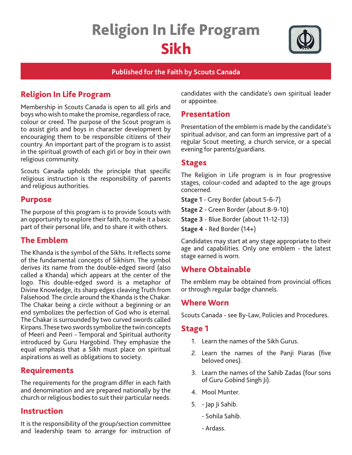# Religion In Life Program Sikh



#### **Published for the Faith by Scouts Canada**

# Religion In Life Program

Membership in Scouts Canada is open to all girls and boys who wish to make the promise, regardless of race, colour or creed. The purpose of the Scout program is to assist girls and boys in character development by encouraging them to be responsible citizens of their country. An important part of the program is to assist in the spiritual growth of each girl or boy in their own religious community.

Scouts Canada upholds the principle that specific religious instruction is the responsibility of parents and religious authorities.

## Purpose

The purpose of this program is to provide Scouts with an opportunity to explore their faith, to make it a basic part of their personal life, and to share it with others.

# The Emblem

The Khanda is the symbol of the Sikhs. It reflects some of the fundamental concepts of Sikhism. The symbol derives its name from the double-edged sword (also called a Khanda) which appears at the center of the logo. This double-edged sword is a metaphor of Divine Knowledge, its sharp edges cleaving Truth from Falsehood. The circle around the Khanda is the Chakar. The Chakar being a circle without a beginning or an end symbolizes the perfection of God who is eternal. The Chakar is surrounded by two curved swords called Kirpans. These two swords symbolize the twin concepts of Meeri and Peeri - Temporal and Spiritual authority introduced by Guru Hargobind. They emphasize the equal emphasis that a Sikh must place on spiritual aspirations as well as obligations to society.

# Requirements

The requirements for the program differ in each faith and denomination and are prepared nationally by the church or religious bodies to suit their particular needs.

# Instruction

It is the responsibility of the group/section committee and leadership team to arrange for instruction of candidates with the candidate's own spiritual leader or appointee.

## Presentation

Presentation of the emblem is made by the candidate's spiritual advisor, and can form an impressive part of a regular Scout meeting, a church service, or a special evening for parents/guardians.

#### Stages

The Religion in Life program is in four progressive stages, colour-coded and adapted to the age groups concerned.

**Stage 1** - Grey Border (about 5-6-7)

**Stage 2** - Green Border (about 8-9-10)

**Stage 3** - Blue Border (about 11-12-13)

**Stage 4** - Red Border (14+)

Candidates may start at any stage appropriate to their age and capabilities. Only one emblem - the latest stage earned is worn.

# Where Obtainable

The emblem may be obtained from provincial offices or through regular badge channels.

#### Where Worn

Scouts Canada - see By-Law, Policies and Procedures.

#### Stage 1

- 1. Learn the names of the Sikh Gurus.
- 2. Learn the names of the Panji Piaras (five beloved ones).
- 3. Learn the names of the Sahib Zadas (four sons of Guru Gobind Singh Ji).
- 4. Mool Munter.
- 5. Jap Ji Sahib.
	- Sohila Sahib.
	- Ardass.